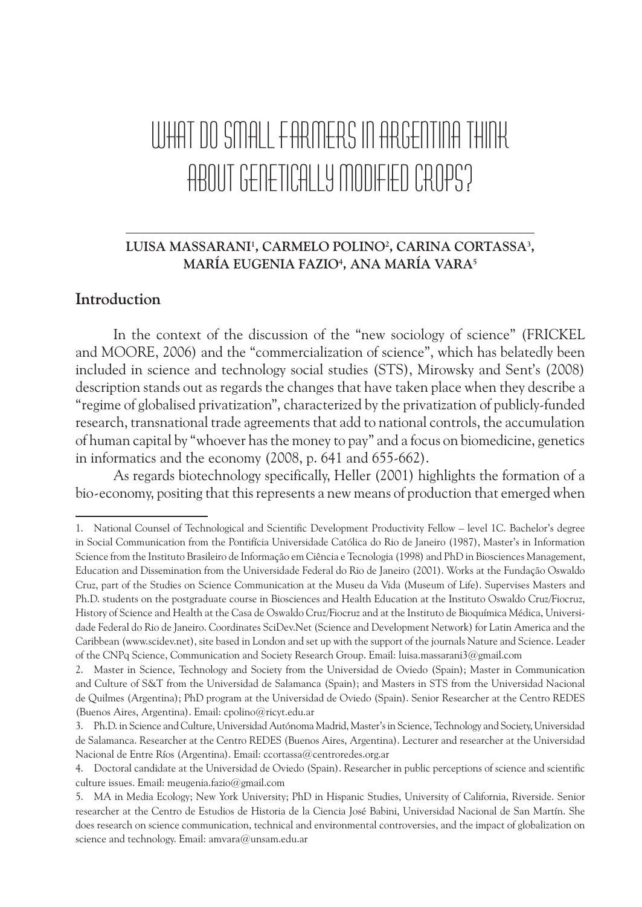# WHAT DO SMALL FARMERS IN ARGENTINA THINK ABOUT GENETICALLY MODIFIED CROPS?

### **LUISA MASSARANI1 , CARMELO POLINO2 , CARINA CORTASSA3 , MARÍA EUGENIA FAZIO4 , ANA MARÍA VARA5**

## **Introduction**

In the context of the discussion of the "new sociology of science" (FRICKEL and MOORE, 2006) and the "commercialization of science", which has belatedly been included in science and technology social studies (STS), Mirowsky and Sent's (2008) description stands out as regards the changes that have taken place when they describe a "regime of globalised privatization", characterized by the privatization of publicly-funded research, transnational trade agreements that add to national controls, the accumulation of human capital by "whoever has the money to pay" and a focus on biomedicine, genetics in informatics and the economy (2008, p. 641 and 655-662).

As regards biotechnology specifically, Heller (2001) highlights the formation of a bio-economy, positing that this represents a new means of production that emerged when

<sup>1.</sup> National Counsel of Technological and Scientific Development Productivity Fellow – level 1C. Bachelor's degree in Social Communication from the Pontifícia Universidade Católica do Rio de Janeiro (1987), Master's in Information Science from the Instituto Brasileiro de Informação em Ciência e Tecnologia (1998) and PhD in Biosciences Management, Education and Dissemination from the Universidade Federal do Rio de Janeiro (2001). Works at the Fundação Oswaldo Cruz, part of the Studies on Science Communication at the Museu da Vida (Museum of Life). Supervises Masters and Ph.D. students on the postgraduate course in Biosciences and Health Education at the Instituto Oswaldo Cruz/Fiocruz, History of Science and Health at the Casa de Oswaldo Cruz/Fiocruz and at the Instituto de Bioquímica Médica, Universidade Federal do Rio de Janeiro. Coordinates SciDev.Net (Science and Development Network) for Latin America and the Caribbean (www.scidev.net), site based in London and set up with the support of the journals Nature and Science. Leader of the CNPq Science, Communication and Society Research Group. Email: luisa.massarani3@gmail.com

<sup>2.</sup> Master in Science, Technology and Society from the Universidad de Oviedo (Spain); Master in Communication and Culture of S&T from the Universidad de Salamanca (Spain); and Masters in STS from the Universidad Nacional de Quilmes (Argentina); PhD program at the Universidad de Oviedo (Spain). Senior Researcher at the Centro REDES (Buenos Aires, Argentina). Email: cpolino@ricyt.edu.ar

<sup>3.</sup> Ph.D. in Science and Culture, Universidad Autónoma Madrid, Master's in Science, Technology and Society, Universidad de Salamanca. Researcher at the Centro REDES (Buenos Aires, Argentina). Lecturer and researcher at the Universidad Nacional de Entre Ríos (Argentina). Email: ccortassa@centroredes.org.ar

<sup>4.</sup> Doctoral candidate at the Universidad de Oviedo (Spain). Researcher in public perceptions of science and scientific culture issues. Email: meugenia.fazio@gmail.com

<sup>5.</sup> MA in Media Ecology; New York University; PhD in Hispanic Studies, University of California, Riverside. Senior researcher at the Centro de Estudios de Historia de la Ciencia José Babini, Universidad Nacional de San Martín. She does research on science communication, technical and environmental controversies, and the impact of globalization on science and technology. Email: amvara@unsam.edu.ar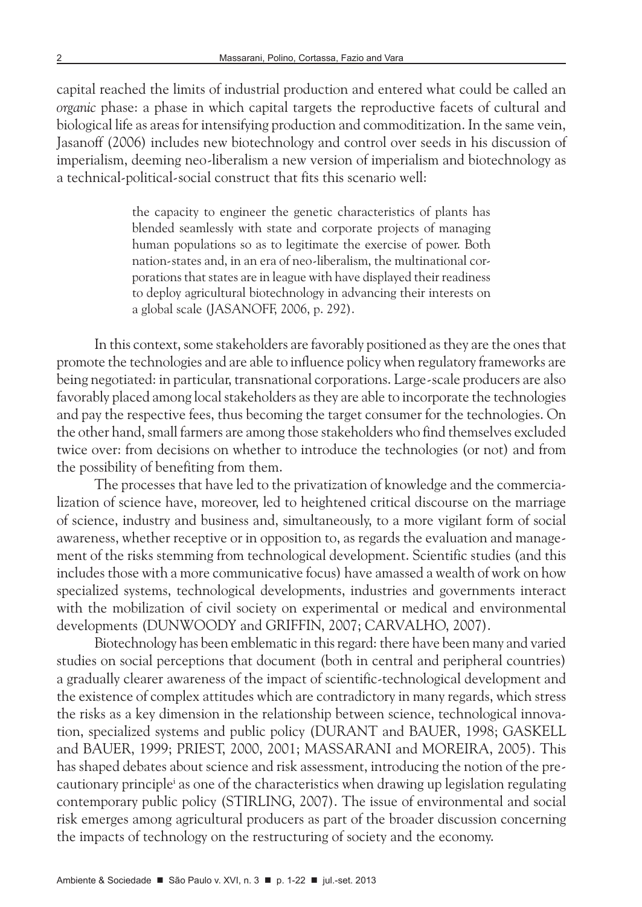capital reached the limits of industrial production and entered what could be called an *organic* phase: a phase in which capital targets the reproductive facets of cultural and biological life as areas for intensifying production and commoditization. In the same vein, Jasanoff (2006) includes new biotechnology and control over seeds in his discussion of imperialism, deeming neo-liberalism a new version of imperialism and biotechnology as a technical-political-social construct that fits this scenario well:

> the capacity to engineer the genetic characteristics of plants has blended seamlessly with state and corporate projects of managing human populations so as to legitimate the exercise of power. Both nation-states and, in an era of neo-liberalism, the multinational corporations that states are in league with have displayed their readiness to deploy agricultural biotechnology in advancing their interests on a global scale (JASANOFF, 2006, p. 292).

In this context, some stakeholders are favorably positioned as they are the ones that promote the technologies and are able to influence policy when regulatory frameworks are being negotiated: in particular, transnational corporations. Large-scale producers are also favorably placed among local stakeholders as they are able to incorporate the technologies and pay the respective fees, thus becoming the target consumer for the technologies. On the other hand, small farmers are among those stakeholders who find themselves excluded twice over: from decisions on whether to introduce the technologies (or not) and from the possibility of benefiting from them.

The processes that have led to the privatization of knowledge and the commercialization of science have, moreover, led to heightened critical discourse on the marriage of science, industry and business and, simultaneously, to a more vigilant form of social awareness, whether receptive or in opposition to, as regards the evaluation and management of the risks stemming from technological development. Scientific studies (and this includes those with a more communicative focus) have amassed a wealth of work on how specialized systems, technological developments, industries and governments interact with the mobilization of civil society on experimental or medical and environmental developments (DUNWOODY and GRIFFIN, 2007; CARVALHO, 2007).

Biotechnology has been emblematic in this regard: there have been many and varied studies on social perceptions that document (both in central and peripheral countries) a gradually clearer awareness of the impact of scientific-technological development and the existence of complex attitudes which are contradictory in many regards, which stress the risks as a key dimension in the relationship between science, technological innovation, specialized systems and public policy (DURANT and BAUER, 1998; GASKELL and BAUER, 1999; PRIEST, 2000, 2001; MASSARANI and MOREIRA, 2005). This has shaped debates about science and risk assessment, introducing the notion of the precautionary principle<sup>i</sup> as one of the characteristics when drawing up legislation regulating contemporary public policy (STIRLING, 2007). The issue of environmental and social risk emerges among agricultural producers as part of the broader discussion concerning the impacts of technology on the restructuring of society and the economy.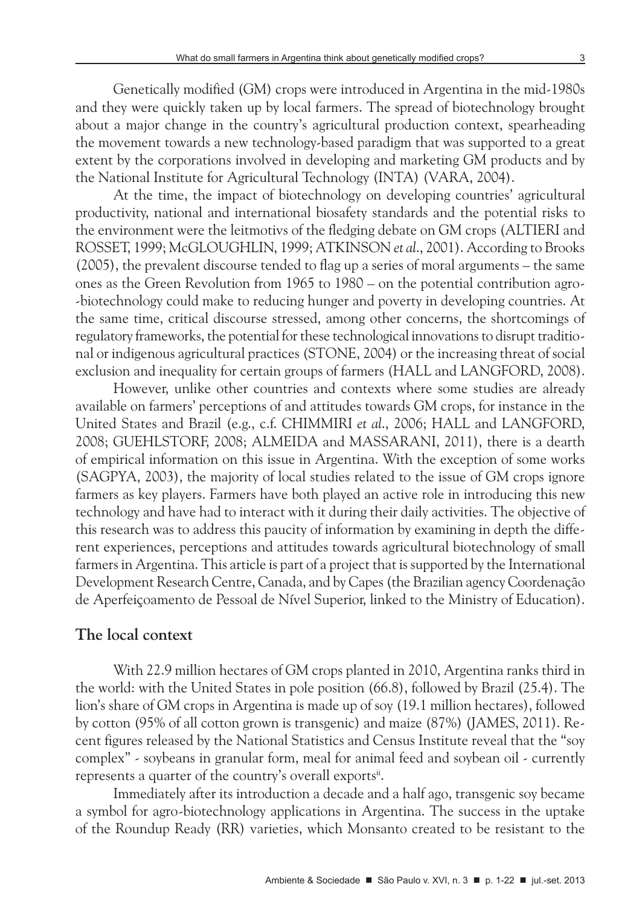Genetically modified (GM) crops were introduced in Argentina in the mid-1980s and they were quickly taken up by local farmers. The spread of biotechnology brought about a major change in the country's agricultural production context, spearheading the movement towards a new technology-based paradigm that was supported to a great extent by the corporations involved in developing and marketing GM products and by the National Institute for Agricultural Technology (INTA) (VARA, 2004).

At the time, the impact of biotechnology on developing countries' agricultural productivity, national and international biosafety standards and the potential risks to the environment were the leitmotivs of the fledging debate on GM crops (ALTIERI and ROSSET, 1999; McGLOUGHLIN, 1999; ATKINSON *et al*., 2001). According to Brooks (2005), the prevalent discourse tended to flag up a series of moral arguments – the same ones as the Green Revolution from 1965 to 1980 – on the potential contribution agro- -biotechnology could make to reducing hunger and poverty in developing countries. At the same time, critical discourse stressed, among other concerns, the shortcomings of regulatory frameworks, the potential for these technological innovations to disrupt traditional or indigenous agricultural practices (STONE, 2004) or the increasing threat of social exclusion and inequality for certain groups of farmers (HALL and LANGFORD, 2008).

However, unlike other countries and contexts where some studies are already available on farmers' perceptions of and attitudes towards GM crops, for instance in the United States and Brazil (e.g., c.f. CHIMMIRI *et al*., 2006; HALL and LANGFORD, 2008; GUEHLSTORF, 2008; ALMEIDA and MASSARANI, 2011), there is a dearth of empirical information on this issue in Argentina. With the exception of some works (SAGPYA, 2003), the majority of local studies related to the issue of GM crops ignore farmers as key players. Farmers have both played an active role in introducing this new technology and have had to interact with it during their daily activities. The objective of this research was to address this paucity of information by examining in depth the different experiences, perceptions and attitudes towards agricultural biotechnology of small farmers in Argentina. This article is part of a project that is supported by the International Development Research Centre, Canada, and by Capes (the Brazilian agency Coordenação de Aperfeiçoamento de Pessoal de Nível Superior, linked to the Ministry of Education).

### **The local context**

With 22.9 million hectares of GM crops planted in 2010, Argentina ranks third in the world: with the United States in pole position (66.8), followed by Brazil (25.4). The lion's share of GM crops in Argentina is made up of soy (19.1 million hectares), followed by cotton (95% of all cotton grown is transgenic) and maize (87%) (JAMES, 2011). Recent figures released by the National Statistics and Census Institute reveal that the "soy complex" - soybeans in granular form, meal for animal feed and soybean oil - currently represents a quarter of the country's overall exports".

Immediately after its introduction a decade and a half ago, transgenic soy became a symbol for agro-biotechnology applications in Argentina. The success in the uptake of the Roundup Ready (RR) varieties, which Monsanto created to be resistant to the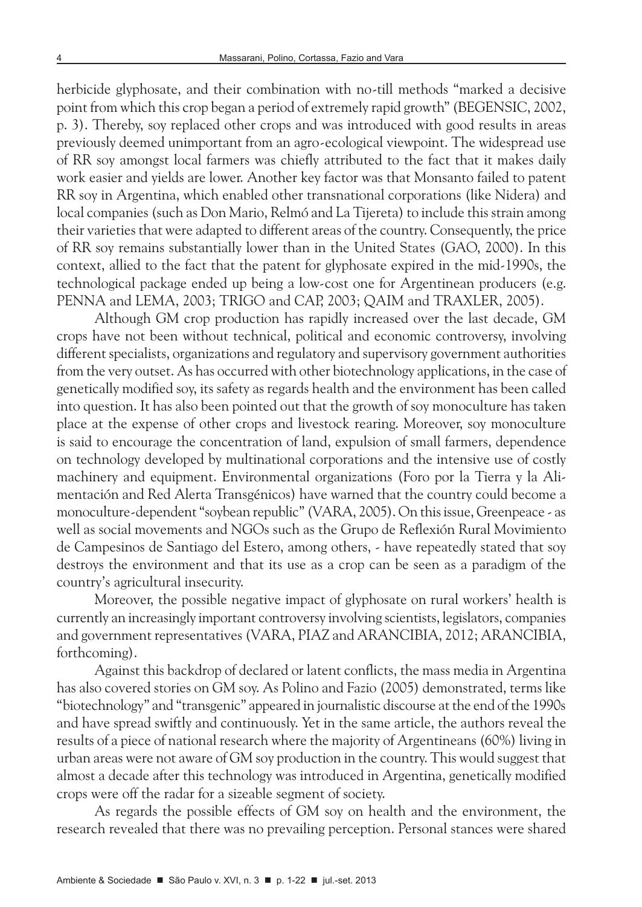herbicide glyphosate, and their combination with no-till methods "marked a decisive point from which this crop began a period of extremely rapid growth" (BEGENSIC, 2002, p. 3). Thereby, soy replaced other crops and was introduced with good results in areas previously deemed unimportant from an agro-ecological viewpoint. The widespread use of RR soy amongst local farmers was chiefly attributed to the fact that it makes daily work easier and yields are lower. Another key factor was that Monsanto failed to patent RR soy in Argentina, which enabled other transnational corporations (like Nidera) and local companies (such as Don Mario, Relmó and La Tijereta) to include this strain among their varieties that were adapted to different areas of the country. Consequently, the price of RR soy remains substantially lower than in the United States (GAO, 2000). In this context, allied to the fact that the patent for glyphosate expired in the mid-1990s, the technological package ended up being a low-cost one for Argentinean producers (e.g. PENNA and LEMA, 2003; TRIGO and CAP, 2003; QAIM and TRAXLER, 2005).

Although GM crop production has rapidly increased over the last decade, GM crops have not been without technical, political and economic controversy, involving different specialists, organizations and regulatory and supervisory government authorities from the very outset. As has occurred with other biotechnology applications, in the case of genetically modified soy, its safety as regards health and the environment has been called into question. It has also been pointed out that the growth of soy monoculture has taken place at the expense of other crops and livestock rearing. Moreover, soy monoculture is said to encourage the concentration of land, expulsion of small farmers, dependence on technology developed by multinational corporations and the intensive use of costly machinery and equipment. Environmental organizations (Foro por la Tierra y la Alimentación and Red Alerta Transgénicos) have warned that the country could become a monoculture-dependent "soybean republic" (VARA, 2005). On this issue, Greenpeace - as well as social movements and NGOs such as the Grupo de Reflexión Rural Movimiento de Campesinos de Santiago del Estero, among others, - have repeatedly stated that soy destroys the environment and that its use as a crop can be seen as a paradigm of the country's agricultural insecurity.

Moreover, the possible negative impact of glyphosate on rural workers' health is currently an increasingly important controversy involving scientists, legislators, companies and government representatives (VARA, PIAZ and ARANCIBIA, 2012; ARANCIBIA, forthcoming).

Against this backdrop of declared or latent conflicts, the mass media in Argentina has also covered stories on GM soy. As Polino and Fazio (2005) demonstrated, terms like "biotechnology" and "transgenic" appeared in journalistic discourse at the end of the 1990s and have spread swiftly and continuously. Yet in the same article, the authors reveal the results of a piece of national research where the majority of Argentineans (60%) living in urban areas were not aware of GM soy production in the country. This would suggest that almost a decade after this technology was introduced in Argentina, genetically modified crops were off the radar for a sizeable segment of society.

As regards the possible effects of GM soy on health and the environment, the research revealed that there was no prevailing perception. Personal stances were shared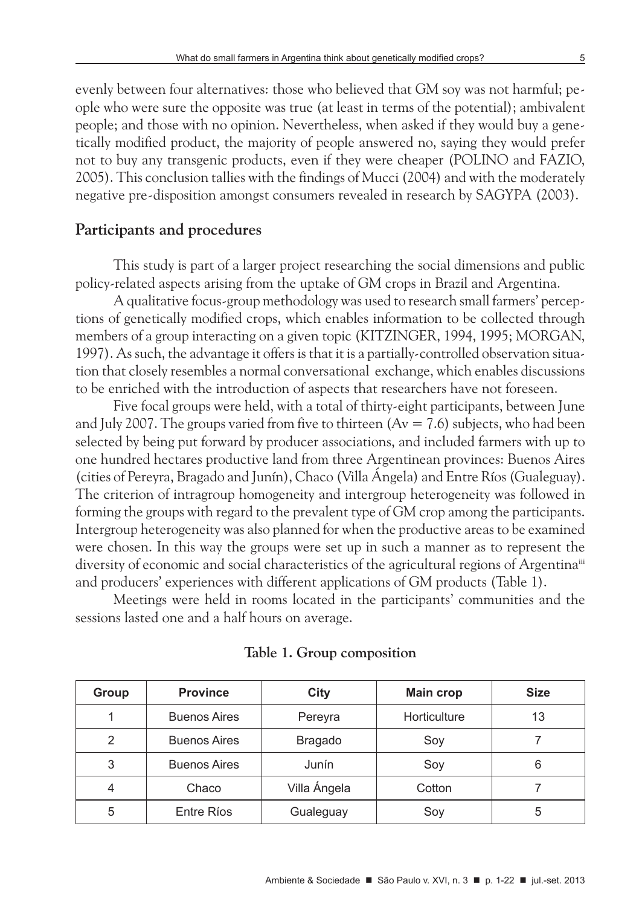evenly between four alternatives: those who believed that GM soy was not harmful; people who were sure the opposite was true (at least in terms of the potential); ambivalent people; and those with no opinion. Nevertheless, when asked if they would buy a genetically modified product, the majority of people answered no, saying they would prefer not to buy any transgenic products, even if they were cheaper (POLINO and FAZIO, 2005). This conclusion tallies with the findings of Mucci (2004) and with the moderately negative pre-disposition amongst consumers revealed in research by SAGYPA (2003).

#### **Participants and procedures**

This study is part of a larger project researching the social dimensions and public policy-related aspects arising from the uptake of GM crops in Brazil and Argentina.

A qualitative focus-group methodology was used to research small farmers' perceptions of genetically modified crops, which enables information to be collected through members of a group interacting on a given topic (KITZINGER, 1994, 1995; MORGAN, 1997). As such, the advantage it offers is that it is a partially-controlled observation situation that closely resembles a normal conversational exchange, which enables discussions to be enriched with the introduction of aspects that researchers have not foreseen.

Five focal groups were held, with a total of thirty-eight participants, between June and July 2007. The groups varied from five to thirteen  $(Av = 7.6)$  subjects, who had been selected by being put forward by producer associations, and included farmers with up to one hundred hectares productive land from three Argentinean provinces: Buenos Aires (cities of Pereyra, Bragado and Junín), Chaco (Villa Ángela) and Entre Ríos (Gualeguay). The criterion of intragroup homogeneity and intergroup heterogeneity was followed in forming the groups with regard to the prevalent type of GM crop among the participants. Intergroup heterogeneity was also planned for when the productive areas to be examined were chosen. In this way the groups were set up in such a manner as to represent the diversity of economic and social characteristics of the agricultural regions of Argentina<sup>iii</sup> and producers' experiences with different applications of GM products (Table 1).

Meetings were held in rooms located in the participants' communities and the sessions lasted one and a half hours on average.

| Group | <b>Province</b>     | City           | <b>Main crop</b> | <b>Size</b> |
|-------|---------------------|----------------|------------------|-------------|
|       | <b>Buenos Aires</b> | Pereyra        | Horticulture     | 13          |
| 2     | <b>Buenos Aires</b> | <b>Bragado</b> | Soy              |             |
| 3     | <b>Buenos Aires</b> | Junín          | Soy              | 6           |
|       | Chaco               | Villa Ángela   | Cotton           |             |
| 5     | Entre Ríos          | Gualeguay      | Soy              | 5           |

#### **Table 1. Group composition**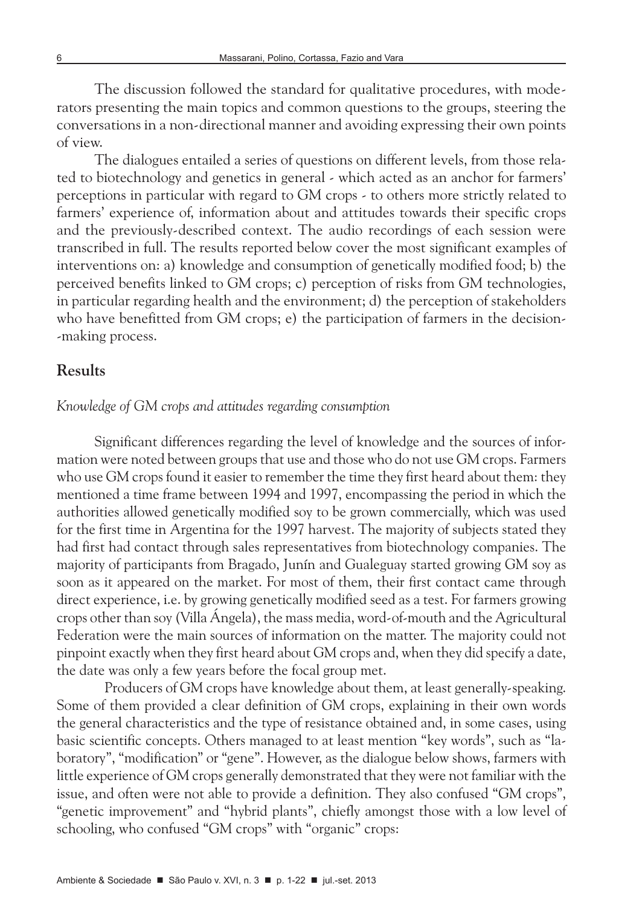The discussion followed the standard for qualitative procedures, with moderators presenting the main topics and common questions to the groups, steering the conversations in a non-directional manner and avoiding expressing their own points of view.

The dialogues entailed a series of questions on different levels, from those related to biotechnology and genetics in general - which acted as an anchor for farmers' perceptions in particular with regard to GM crops - to others more strictly related to farmers' experience of, information about and attitudes towards their specific crops and the previously-described context. The audio recordings of each session were transcribed in full. The results reported below cover the most significant examples of interventions on: a) knowledge and consumption of genetically modified food; b) the perceived benefits linked to GM crops; c) perception of risks from GM technologies, in particular regarding health and the environment; d) the perception of stakeholders who have benefitted from GM crops; e) the participation of farmers in the decision- -making process.

#### **Results**

#### *Knowledge of GM crops and attitudes regarding consumption*

Significant differences regarding the level of knowledge and the sources of information were noted between groups that use and those who do not use GM crops. Farmers who use GM crops found it easier to remember the time they first heard about them: they mentioned a time frame between 1994 and 1997, encompassing the period in which the authorities allowed genetically modified soy to be grown commercially, which was used for the first time in Argentina for the 1997 harvest. The majority of subjects stated they had first had contact through sales representatives from biotechnology companies. The majority of participants from Bragado, Junín and Gualeguay started growing GM soy as soon as it appeared on the market. For most of them, their first contact came through direct experience, i.e. by growing genetically modified seed as a test. For farmers growing crops other than soy (Villa Ángela), the mass media, word-of-mouth and the Agricultural Federation were the main sources of information on the matter. The majority could not pinpoint exactly when they first heard about GM crops and, when they did specify a date, the date was only a few years before the focal group met.

Producers of GM crops have knowledge about them, at least generally-speaking. Some of them provided a clear definition of GM crops, explaining in their own words the general characteristics and the type of resistance obtained and, in some cases, using basic scientific concepts. Others managed to at least mention "key words", such as "laboratory", "modification" or "gene". However, as the dialogue below shows, farmers with little experience of GM crops generally demonstrated that they were not familiar with the issue, and often were not able to provide a definition. They also confused "GM crops", "genetic improvement" and "hybrid plants", chiefly amongst those with a low level of schooling, who confused "GM crops" with "organic" crops: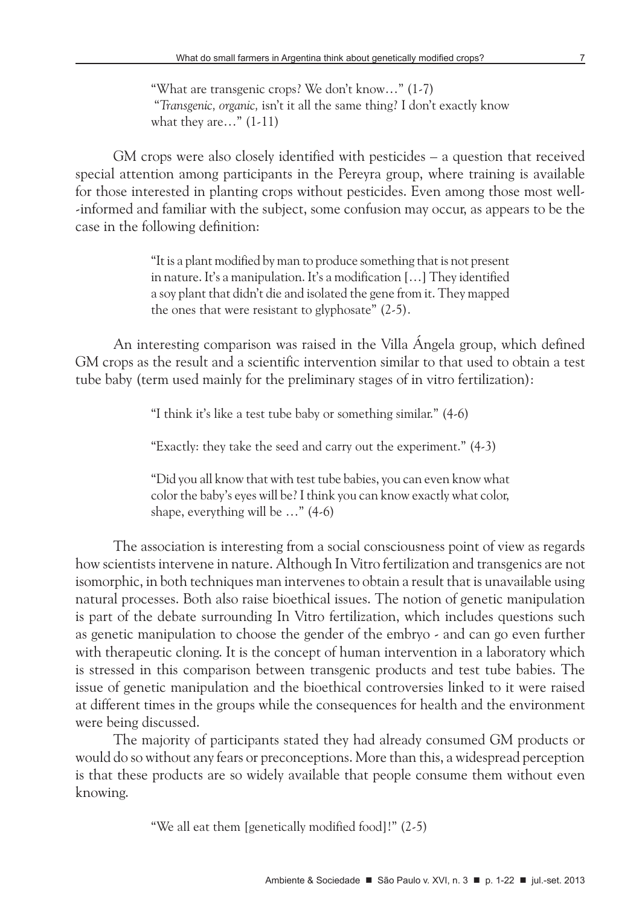"What are transgenic crops? We don't know…" (1-7) "*Transgenic, organic,* isn't it all the same thing? I don't exactly know what they are…" (1-11)

GM crops were also closely identified with pesticides – a question that received special attention among participants in the Pereyra group, where training is available for those interested in planting crops without pesticides. Even among those most well- -informed and familiar with the subject, some confusion may occur, as appears to be the case in the following definition:

> "It is a plant modified by man to produce something that is not present in nature. It's a manipulation. It's a modification […] They identified a soy plant that didn't die and isolated the gene from it. They mapped the ones that were resistant to glyphosate" (2-5).

An interesting comparison was raised in the Villa Ángela group, which defined GM crops as the result and a scientific intervention similar to that used to obtain a test tube baby (term used mainly for the preliminary stages of in vitro fertilization):

"I think it's like a test tube baby or something similar." (4-6)

"Exactly: they take the seed and carry out the experiment." (4-3)

"Did you all know that with test tube babies, you can even know what color the baby's eyes will be? I think you can know exactly what color, shape, everything will be …" (4-6)

The association is interesting from a social consciousness point of view as regards how scientists intervene in nature. Although In Vitro fertilization and transgenics are not isomorphic, in both techniques man intervenes to obtain a result that is unavailable using natural processes. Both also raise bioethical issues. The notion of genetic manipulation is part of the debate surrounding In Vitro fertilization, which includes questions such as genetic manipulation to choose the gender of the embryo - and can go even further with therapeutic cloning. It is the concept of human intervention in a laboratory which is stressed in this comparison between transgenic products and test tube babies. The issue of genetic manipulation and the bioethical controversies linked to it were raised at different times in the groups while the consequences for health and the environment were being discussed.

The majority of participants stated they had already consumed GM products or would do so without any fears or preconceptions. More than this, a widespread perception is that these products are so widely available that people consume them without even knowing.

"We all eat them [genetically modified food]!" (2-5)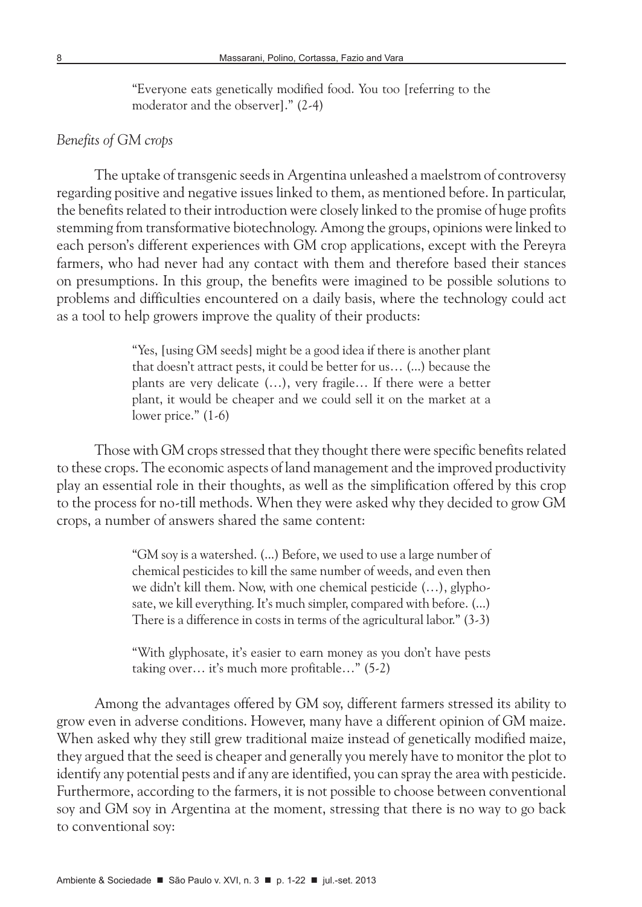"Everyone eats genetically modified food. You too [referring to the moderator and the observer]." (2-4)

#### *Benefits of GM crops*

The uptake of transgenic seeds in Argentina unleashed a maelstrom of controversy regarding positive and negative issues linked to them, as mentioned before. In particular, the benefits related to their introduction were closely linked to the promise of huge profits stemming from transformative biotechnology. Among the groups, opinions were linked to each person's different experiences with GM crop applications, except with the Pereyra farmers, who had never had any contact with them and therefore based their stances on presumptions. In this group, the benefits were imagined to be possible solutions to problems and difficulties encountered on a daily basis, where the technology could act as a tool to help growers improve the quality of their products:

> "Yes, [using GM seeds] might be a good idea if there is another plant that doesn't attract pests, it could be better for us… (...) because the plants are very delicate (…), very fragile… If there were a better plant, it would be cheaper and we could sell it on the market at a lower price." (1-6)

Those with GM crops stressed that they thought there were specific benefits related to these crops. The economic aspects of land management and the improved productivity play an essential role in their thoughts, as well as the simplification offered by this crop to the process for no-till methods. When they were asked why they decided to grow GM crops, a number of answers shared the same content:

> "GM soy is a watershed. (...) Before, we used to use a large number of chemical pesticides to kill the same number of weeds, and even then we didn't kill them. Now, with one chemical pesticide (…), glyphosate, we kill everything. It's much simpler, compared with before. (...) There is a difference in costs in terms of the agricultural labor." (3-3)

> "With glyphosate, it's easier to earn money as you don't have pests taking over… it's much more profitable…" (5-2)

Among the advantages offered by GM soy, different farmers stressed its ability to grow even in adverse conditions. However, many have a different opinion of GM maize. When asked why they still grew traditional maize instead of genetically modified maize, they argued that the seed is cheaper and generally you merely have to monitor the plot to identify any potential pests and if any are identified, you can spray the area with pesticide. Furthermore, according to the farmers, it is not possible to choose between conventional soy and GM soy in Argentina at the moment, stressing that there is no way to go back to conventional soy: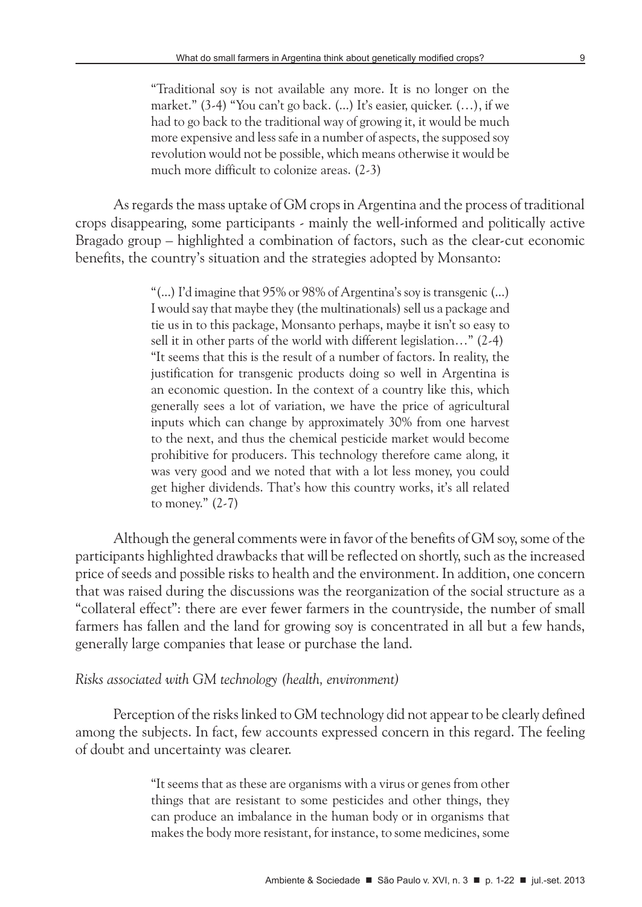"Traditional soy is not available any more. It is no longer on the market." (3-4) "You can't go back. (...) It's easier, quicker. (...), if we had to go back to the traditional way of growing it, it would be much more expensive and less safe in a number of aspects, the supposed soy revolution would not be possible, which means otherwise it would be much more difficult to colonize areas. (2-3)

As regards the mass uptake of GM crops in Argentina and the process of traditional crops disappearing, some participants - mainly the well-informed and politically active Bragado group – highlighted a combination of factors, such as the clear-cut economic benefits, the country's situation and the strategies adopted by Monsanto:

> "(...) I'd imagine that 95% or 98% of Argentina's soy is transgenic (...) I would say that maybe they (the multinationals) sell us a package and tie us in to this package, Monsanto perhaps, maybe it isn't so easy to sell it in other parts of the world with different legislation…" (2-4) "It seems that this is the result of a number of factors. In reality, the justification for transgenic products doing so well in Argentina is an economic question. In the context of a country like this, which generally sees a lot of variation, we have the price of agricultural inputs which can change by approximately 30% from one harvest to the next, and thus the chemical pesticide market would become prohibitive for producers. This technology therefore came along, it was very good and we noted that with a lot less money, you could get higher dividends. That's how this country works, it's all related to money." (2-7)

Although the general comments were in favor of the benefits of GM soy, some of the participants highlighted drawbacks that will be reflected on shortly, such as the increased price of seeds and possible risks to health and the environment. In addition, one concern that was raised during the discussions was the reorganization of the social structure as a "collateral effect": there are ever fewer farmers in the countryside, the number of small farmers has fallen and the land for growing soy is concentrated in all but a few hands, generally large companies that lease or purchase the land.

## *Risks associated with GM technology (health, environment)*

Perception of the risks linked to GM technology did not appear to be clearly defined among the subjects. In fact, few accounts expressed concern in this regard. The feeling of doubt and uncertainty was clearer.

> "It seems that as these are organisms with a virus or genes from other things that are resistant to some pesticides and other things, they can produce an imbalance in the human body or in organisms that makes the body more resistant, for instance, to some medicines, some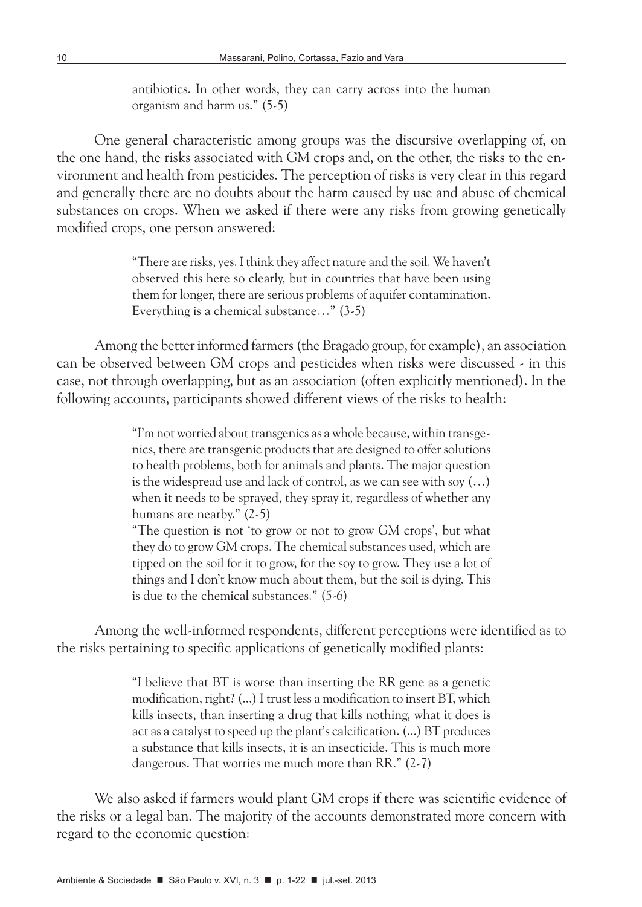antibiotics. In other words, they can carry across into the human organism and harm us." (5-5)

One general characteristic among groups was the discursive overlapping of, on the one hand, the risks associated with GM crops and, on the other, the risks to the environment and health from pesticides. The perception of risks is very clear in this regard and generally there are no doubts about the harm caused by use and abuse of chemical substances on crops. When we asked if there were any risks from growing genetically modified crops, one person answered:

> "There are risks, yes. I think they affect nature and the soil. We haven't observed this here so clearly, but in countries that have been using them for longer, there are serious problems of aquifer contamination. Everything is a chemical substance…" (3-5)

Among the better informed farmers (the Bragado group, for example), an association can be observed between GM crops and pesticides when risks were discussed - in this case, not through overlapping, but as an association (often explicitly mentioned). In the following accounts, participants showed different views of the risks to health:

> "I'm not worried about transgenics as a whole because, within transgenics, there are transgenic products that are designed to offer solutions to health problems, both for animals and plants. The major question is the widespread use and lack of control, as we can see with soy (…) when it needs to be sprayed, they spray it, regardless of whether any humans are nearby." (2-5)

> "The question is not 'to grow or not to grow GM crops', but what they do to grow GM crops. The chemical substances used, which are tipped on the soil for it to grow, for the soy to grow. They use a lot of things and I don't know much about them, but the soil is dying. This is due to the chemical substances." (5-6)

Among the well-informed respondents, different perceptions were identified as to the risks pertaining to specific applications of genetically modified plants:

> "I believe that BT is worse than inserting the RR gene as a genetic modification, right? (...) I trust less a modification to insert BT, which kills insects, than inserting a drug that kills nothing, what it does is act as a catalyst to speed up the plant's calcification. (...) BT produces a substance that kills insects, it is an insecticide. This is much more dangerous. That worries me much more than RR." (2-7)

We also asked if farmers would plant GM crops if there was scientific evidence of the risks or a legal ban. The majority of the accounts demonstrated more concern with regard to the economic question: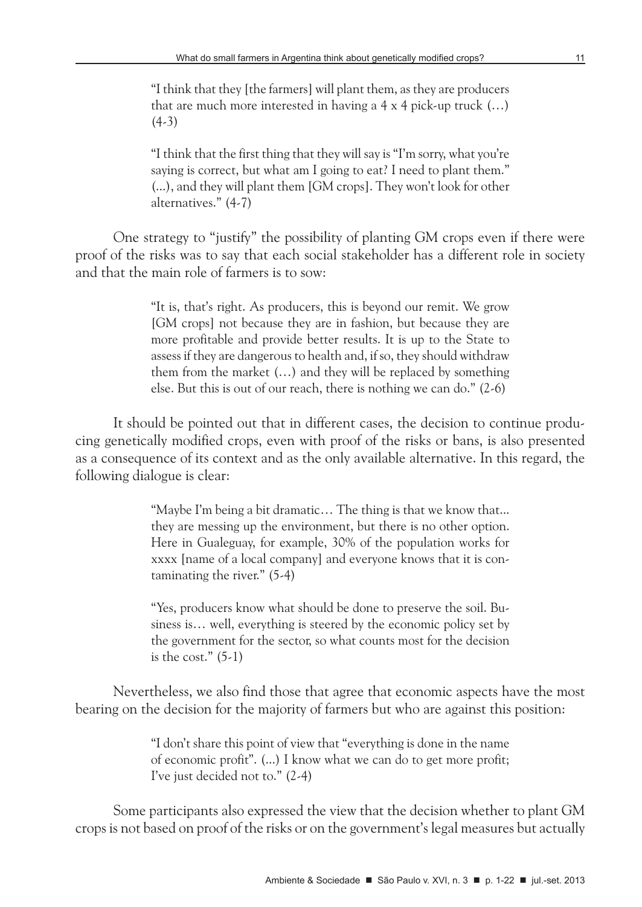"I think that they [the farmers] will plant them, as they are producers that are much more interested in having a  $4 \times 4$  pick-up truck  $(...)$  $(4-3)$ 

"I think that the first thing that they will say is "I'm sorry, what you're saying is correct, but what am I going to eat? I need to plant them." (...), and they will plant them [GM crops]. They won't look for other alternatives." (4-7)

One strategy to "justify" the possibility of planting GM crops even if there were proof of the risks was to say that each social stakeholder has a different role in society and that the main role of farmers is to sow:

> "It is, that's right. As producers, this is beyond our remit. We grow [GM crops] not because they are in fashion, but because they are more profitable and provide better results. It is up to the State to assess if they are dangerous to health and, if so, they should withdraw them from the market (…) and they will be replaced by something else. But this is out of our reach, there is nothing we can do." (2-6)

It should be pointed out that in different cases, the decision to continue producing genetically modified crops, even with proof of the risks or bans, is also presented as a consequence of its context and as the only available alternative. In this regard, the following dialogue is clear:

> "Maybe I'm being a bit dramatic… The thing is that we know that... they are messing up the environment, but there is no other option. Here in Gualeguay, for example, 30% of the population works for xxxx [name of a local company] and everyone knows that it is contaminating the river." (5-4)

> "Yes, producers know what should be done to preserve the soil. Business is… well, everything is steered by the economic policy set by the government for the sector, so what counts most for the decision is the cost." (5-1)

Nevertheless, we also find those that agree that economic aspects have the most bearing on the decision for the majority of farmers but who are against this position:

> "I don't share this point of view that "everything is done in the name of economic profit". (...) I know what we can do to get more profit; I've just decided not to." (2-4)

Some participants also expressed the view that the decision whether to plant GM crops is not based on proof of the risks or on the government's legal measures but actually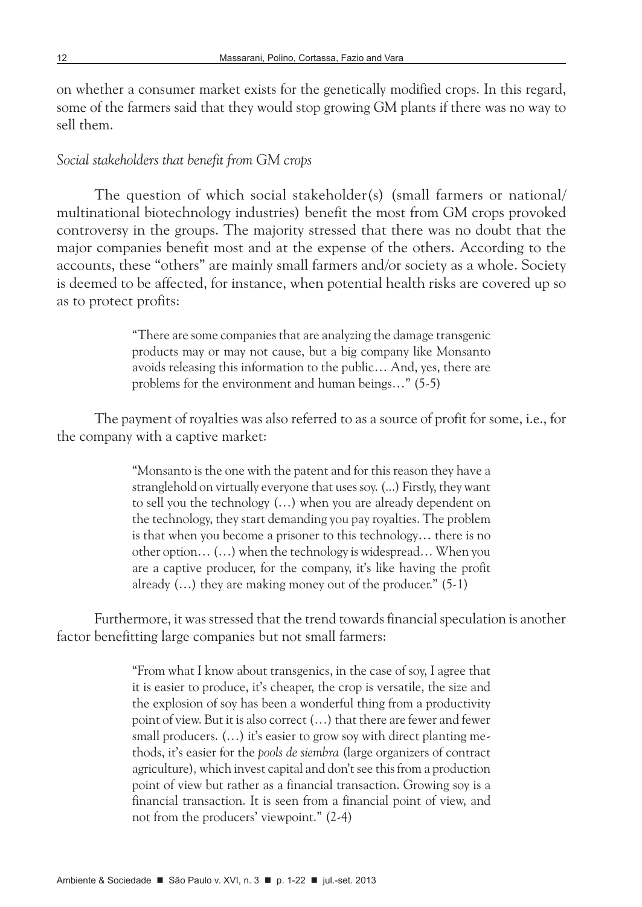on whether a consumer market exists for the genetically modified crops. In this regard, some of the farmers said that they would stop growing GM plants if there was no way to sell them.

#### *Social stakeholders that benefit from GM crops*

The question of which social stakeholder(s) (small farmers or national/ multinational biotechnology industries) benefit the most from GM crops provoked controversy in the groups. The majority stressed that there was no doubt that the major companies benefit most and at the expense of the others. According to the accounts, these "others" are mainly small farmers and/or society as a whole. Society is deemed to be affected, for instance, when potential health risks are covered up so as to protect profits:

> "There are some companies that are analyzing the damage transgenic products may or may not cause, but a big company like Monsanto avoids releasing this information to the public… And, yes, there are problems for the environment and human beings…" (5-5)

The payment of royalties was also referred to as a source of profit for some, i.e., for the company with a captive market:

> "Monsanto is the one with the patent and for this reason they have a stranglehold on virtually everyone that uses soy. (...) Firstly, they want to sell you the technology (…) when you are already dependent on the technology, they start demanding you pay royalties. The problem is that when you become a prisoner to this technology… there is no other option… (…) when the technology is widespread… When you are a captive producer, for the company, it's like having the profit already  $(...)$  they are making money out of the producer." (5-1)

Furthermore, it was stressed that the trend towards financial speculation is another factor benefitting large companies but not small farmers:

> "From what I know about transgenics, in the case of soy, I agree that it is easier to produce, it's cheaper, the crop is versatile, the size and the explosion of soy has been a wonderful thing from a productivity point of view. But it is also correct (…) that there are fewer and fewer small producers. (...) it's easier to grow soy with direct planting methods, it's easier for the *pools de siembra* (large organizers of contract agriculture)*,* which invest capital and don't see this from a production point of view but rather as a financial transaction. Growing soy is a financial transaction. It is seen from a financial point of view, and not from the producers' viewpoint." (2-4)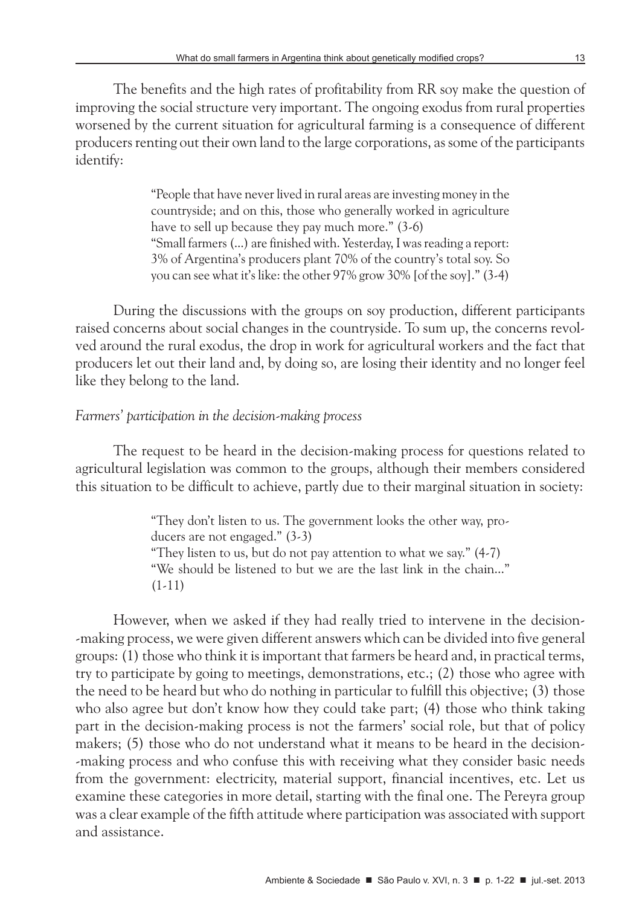The benefits and the high rates of profitability from RR soy make the question of improving the social structure very important. The ongoing exodus from rural properties worsened by the current situation for agricultural farming is a consequence of different producers renting out their own land to the large corporations, as some of the participants identify:

> "People that have never lived in rural areas are investing money in the countryside; and on this, those who generally worked in agriculture have to sell up because they pay much more." (3-6) "Small farmers (...) are finished with. Yesterday, I was reading a report: 3% of Argentina's producers plant 70% of the country's total soy. So you can see what it's like: the other 97% grow 30% [of the soy]." (3-4)

During the discussions with the groups on soy production, different participants raised concerns about social changes in the countryside. To sum up, the concerns revolved around the rural exodus, the drop in work for agricultural workers and the fact that producers let out their land and, by doing so, are losing their identity and no longer feel like they belong to the land.

#### *Farmers' participation in the decision-making process*

The request to be heard in the decision-making process for questions related to agricultural legislation was common to the groups, although their members considered this situation to be difficult to achieve, partly due to their marginal situation in society:

> "They don't listen to us. The government looks the other way, producers are not engaged." (3-3) "They listen to us, but do not pay attention to what we say."  $(4-7)$ "We should be listened to but we are the last link in the chain..." (1-11)

However, when we asked if they had really tried to intervene in the decision- -making process, we were given different answers which can be divided into five general groups: (1) those who think it is important that farmers be heard and, in practical terms, try to participate by going to meetings, demonstrations, etc.; (2) those who agree with the need to be heard but who do nothing in particular to fulfill this objective; (3) those who also agree but don't know how they could take part; (4) those who think taking part in the decision-making process is not the farmers' social role, but that of policy makers; (5) those who do not understand what it means to be heard in the decision- -making process and who confuse this with receiving what they consider basic needs from the government: electricity, material support, financial incentives, etc. Let us examine these categories in more detail, starting with the final one. The Pereyra group was a clear example of the fifth attitude where participation was associated with support and assistance.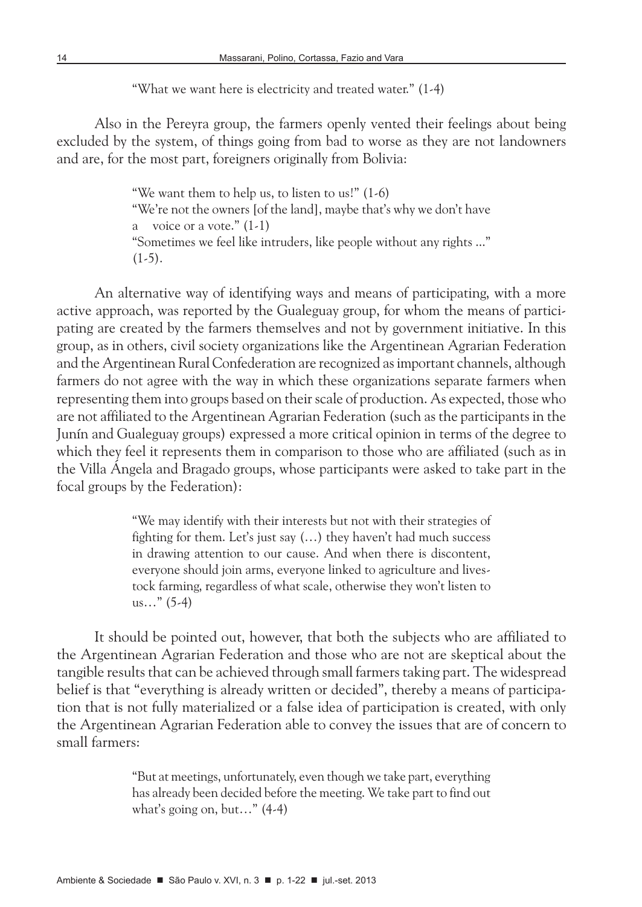"What we want here is electricity and treated water." (1-4)

Also in the Pereyra group, the farmers openly vented their feelings about being excluded by the system, of things going from bad to worse as they are not landowners and are, for the most part, foreigners originally from Bolivia:

> "We want them to help us, to listen to us!" (1-6) "We're not the owners [of the land], maybe that's why we don't have a voice or a vote." (1-1) "Sometimes we feel like intruders, like people without any rights ..."  $(1-5)$ .

An alternative way of identifying ways and means of participating, with a more active approach, was reported by the Gualeguay group, for whom the means of participating are created by the farmers themselves and not by government initiative. In this group, as in others, civil society organizations like the Argentinean Agrarian Federation and the Argentinean Rural Confederation are recognized as important channels, although farmers do not agree with the way in which these organizations separate farmers when representing them into groups based on their scale of production. As expected, those who are not affiliated to the Argentinean Agrarian Federation (such as the participants in the Junín and Gualeguay groups) expressed a more critical opinion in terms of the degree to which they feel it represents them in comparison to those who are affiliated (such as in the Villa Ángela and Bragado groups, whose participants were asked to take part in the focal groups by the Federation):

> "We may identify with their interests but not with their strategies of fighting for them. Let's just say (…) they haven't had much success in drawing attention to our cause. And when there is discontent, everyone should join arms, everyone linked to agriculture and livestock farming, regardless of what scale, otherwise they won't listen to  $us...$ " (5-4)

It should be pointed out, however, that both the subjects who are affiliated to the Argentinean Agrarian Federation and those who are not are skeptical about the tangible results that can be achieved through small farmers taking part. The widespread belief is that "everything is already written or decided", thereby a means of participation that is not fully materialized or a false idea of participation is created, with only the Argentinean Agrarian Federation able to convey the issues that are of concern to small farmers:

> "But at meetings, unfortunately, even though we take part, everything has already been decided before the meeting. We take part to find out what's going on, but…" (4-4)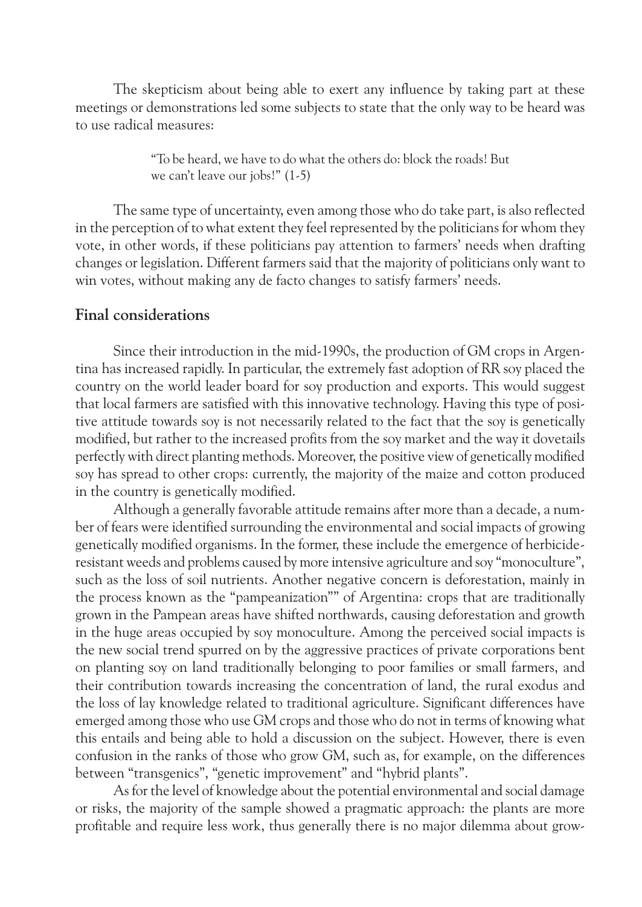The skepticism about being able to exert any influence by taking part at these meetings or demonstrations led some subjects to state that the only way to be heard was to use radical measures:

> "To be heard, we have to do what the others do: block the roads! But we can't leave our jobs!" (1-5)

The same type of uncertainty, even among those who do take part, is also reflected in the perception of to what extent they feel represented by the politicians for whom they vote, in other words, if these politicians pay attention to farmers' needs when drafting changes or legislation. Different farmers said that the majority of politicians only want to win votes, without making any de facto changes to satisfy farmers' needs.

## **Final considerations**

Since their introduction in the mid-1990s, the production of GM crops in Argentina has increased rapidly. In particular, the extremely fast adoption of RR soy placed the country on the world leader board for soy production and exports. This would suggest that local farmers are satisfied with this innovative technology. Having this type of positive attitude towards soy is not necessarily related to the fact that the soy is genetically modified, but rather to the increased profits from the soy market and the way it dovetails perfectly with direct planting methods. Moreover, the positive view of genetically modified soy has spread to other crops: currently, the majority of the maize and cotton produced in the country is genetically modified.

Although a generally favorable attitude remains after more than a decade, a number of fears were identified surrounding the environmental and social impacts of growing genetically modified organisms. In the former, these include the emergence of herbicideresistant weeds and problems caused by more intensive agriculture and soy "monoculture", such as the loss of soil nutrients. Another negative concern is deforestation, mainly in the process known as the "pampeanization"" of Argentina: crops that are traditionally grown in the Pampean areas have shifted northwards, causing deforestation and growth in the huge areas occupied by soy monoculture. Among the perceived social impacts is the new social trend spurred on by the aggressive practices of private corporations bent on planting soy on land traditionally belonging to poor families or small farmers, and their contribution towards increasing the concentration of land, the rural exodus and the loss of lay knowledge related to traditional agriculture. Significant differences have emerged among those who use GM crops and those who do not in terms of knowing what this entails and being able to hold a discussion on the subject. However, there is even confusion in the ranks of those who grow GM, such as, for example, on the differences between "transgenics", "genetic improvement" and "hybrid plants".

As for the level of knowledge about the potential environmental and social damage or risks, the majority of the sample showed a pragmatic approach: the plants are more profitable and require less work, thus generally there is no major dilemma about grow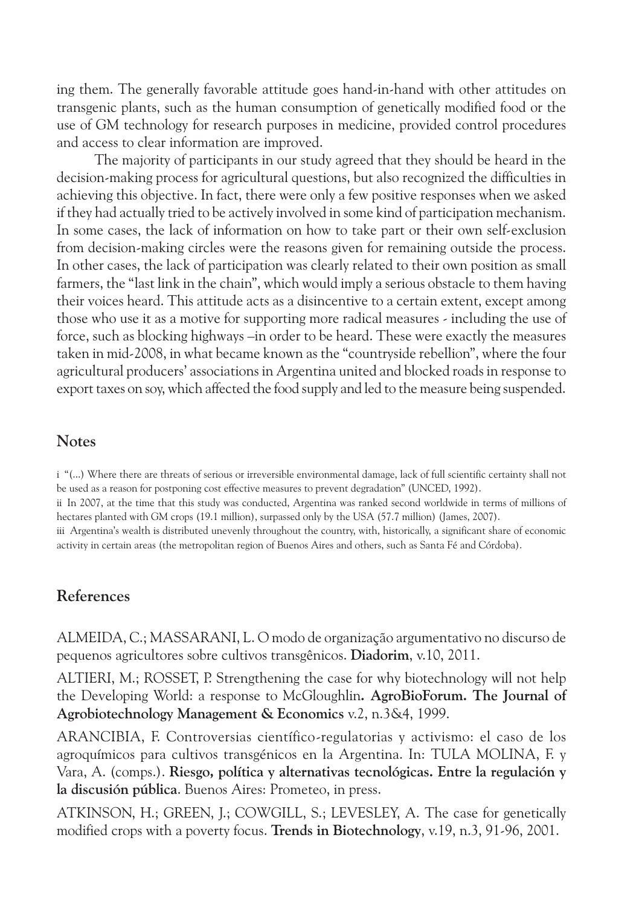ing them. The generally favorable attitude goes hand-in-hand with other attitudes on transgenic plants, such as the human consumption of genetically modified food or the use of GM technology for research purposes in medicine, provided control procedures and access to clear information are improved.

The majority of participants in our study agreed that they should be heard in the decision-making process for agricultural questions, but also recognized the difficulties in achieving this objective. In fact, there were only a few positive responses when we asked if they had actually tried to be actively involved in some kind of participation mechanism. In some cases, the lack of information on how to take part or their own self-exclusion from decision-making circles were the reasons given for remaining outside the process. In other cases, the lack of participation was clearly related to their own position as small farmers, the "last link in the chain", which would imply a serious obstacle to them having their voices heard. This attitude acts as a disincentive to a certain extent, except among those who use it as a motive for supporting more radical measures - including the use of force, such as blocking highways –in order to be heard. These were exactly the measures taken in mid-2008, in what became known as the "countryside rebellion", where the four agricultural producers' associations in Argentina united and blocked roads in response to export taxes on soy, which affected the food supply and led to the measure being suspended.

#### **Notes**

i "(...) Where there are threats of serious or irreversible environmental damage, lack of full scientific certainty shall not be used as a reason for postponing cost effective measures to prevent degradation" (UNCED, 1992). ii In 2007, at the time that this study was conducted, Argentina was ranked second worldwide in terms of millions of hectares planted with GM crops (19.1 million), surpassed only by the USA (57.7 million) (James, 2007). iii Argentina's wealth is distributed unevenly throughout the country, with, historically, a significant share of economic activity in certain areas (the metropolitan region of Buenos Aires and others, such as Santa Fé and Córdoba).

### **References**

ALMEIDA, C.; MASSARANI, L. O modo de organização argumentativo no discurso de pequenos agricultores sobre cultivos transgênicos. **Diadorim**, v.10, 2011.

ALTIERI, M.; ROSSET, P. Strengthening the case for why biotechnology will not help the Developing World: a response to McGloughlin**. AgroBioForum. The Journal of Agrobiotechnology Management & Economics** v.2, n.3&4, 1999.

ARANCIBIA, F. Controversias científico-regulatorias y activismo: el caso de los agroquímicos para cultivos transgénicos en la Argentina. In: TULA MOLINA, F. y Vara, A. (comps.). **Riesgo, política y alternativas tecnológicas. Entre la regulación y la discusión pública**. Buenos Aires: Prometeo, in press.

ATKINSON, H.; GREEN, J.; COWGILL, S.; LEVESLEY, A. The case for genetically modified crops with a poverty focus. **Trends in Biotechnology**, v.19, n.3, 91-96, 2001.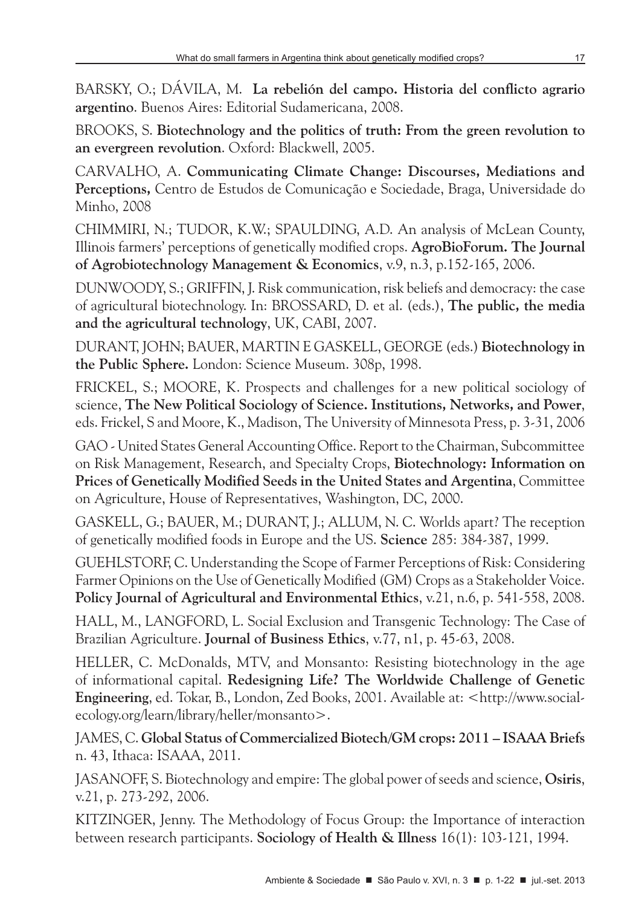BARSKY, O.; DÁVILA, M. **La rebelión del campo. Historia del conflicto agrario argentino**. Buenos Aires: Editorial Sudamericana, 2008.

BROOKS, S. **Biotechnology and the politics of truth: From the green revolution to an evergreen revolution**. Oxford: Blackwell, 2005.

CARVALHO, A. **Communicating Climate Change: Discourses, Mediations and Perceptions,** Centro de Estudos de Comunicação e Sociedade, Braga, Universidade do Minho, 2008

CHIMMIRI, N.; TUDOR, K.W.; SPAULDING, A.D. An analysis of McLean County, Illinois farmers' perceptions of genetically modified crops. **AgroBioForum. The Journal of Agrobiotechnology Management & Economics**, v.9, n.3, p.152-165, 2006.

DUNWOODY, S.; GRIFFIN, J. Risk communication, risk beliefs and democracy: the case of agricultural biotechnology. In: BROSSARD, D. et al. (eds.), **The public, the media and the agricultural technology**, UK, CABI, 2007.

DURANT, JOHN; BAUER, MARTIN E GASKELL, GEORGE (eds.) **Biotechnology in the Public Sphere.** London: Science Museum. 308p, 1998.

FRICKEL, S.; MOORE, K. Prospects and challenges for a new political sociology of science, **The New Political Sociology of Science. Institutions, Networks, and Power**, eds. Frickel, S and Moore, K., Madison, The University of Minnesota Press, p. 3-31, 2006

GAO - United States General Accounting Office. Report to the Chairman, Subcommittee on Risk Management, Research, and Specialty Crops, **Biotechnology: Information on Prices of Genetically Modified Seeds in the United States and Argentina**, Committee on Agriculture, House of Representatives, Washington, DC, 2000.

GASKELL, G.; BAUER, M.; DURANT, J.; ALLUM, N. C. Worlds apart? The reception of genetically modified foods in Europe and the US. **Science** 285: 384-387, 1999.

GUEHLSTORF, C. Understanding the Scope of Farmer Perceptions of Risk: Considering Farmer Opinions on the Use of Genetically Modified (GM) Crops as a Stakeholder Voice. **Policy Journal of Agricultural and Environmental Ethics**, v.21, n.6, p. 541-558, 2008.

HALL, M., LANGFORD, L. Social Exclusion and Transgenic Technology: The Case of Brazilian Agriculture. **Journal of Business Ethics**, v.77, n1, p. 45-63, 2008.

HELLER, C. McDonalds, MTV, and Monsanto: Resisting biotechnology in the age of informational capital. **Redesigning Life? The Worldwide Challenge of Genetic Engineering**, ed. Tokar, B., London, Zed Books, 2001. Available at: <http://www.socialecology.org/learn/library/heller/monsanto>.

JAMES, C. **Global Status of Commercialized Biotech/GM crops: 2011 – ISAAA Briefs** n. 43, Ithaca: ISAAA, 2011.

JASANOFF, S. Biotechnology and empire: The global power of seeds and science, **Osiris**, v.21, p. 273-292, 2006.

KITZINGER, Jenny. The Methodology of Focus Group: the Importance of interaction between research participants. **Sociology of Health & Illness** 16(1): 103-121, 1994.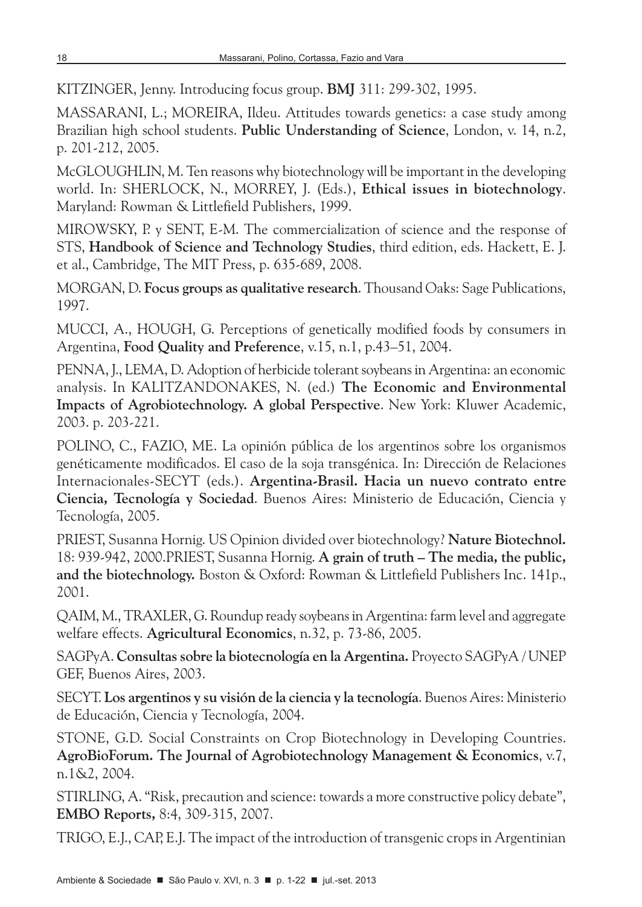KITZINGER, Jenny. Introducing focus group. **BMJ** 311: 299-302, 1995.

MASSARANI, L.; MOREIRA, Ildeu. Attitudes towards genetics: a case study among Brazilian high school students. **Public Understanding of Science**, London, v. 14, n.2, p. 201-212, 2005.

McGLOUGHLIN, M. Ten reasons why biotechnology will be important in the developing world. In: SHERLOCK, N., MORREY, J. (Eds.), **Ethical issues in biotechnology**. Maryland: Rowman & Littlefield Publishers, 1999.

MIROWSKY, P. y SENT, E-M. The commercialization of science and the response of STS, **Handbook of Science and Technology Studies**, third edition, eds. Hackett, E. J. et al., Cambridge, The MIT Press, p. 635-689, 2008.

MORGAN, D. **Focus groups as qualitative research**. Thousand Oaks: Sage Publications, 1997.

MUCCI, A., HOUGH, G. Perceptions of genetically modified foods by consumers in Argentina, **Food Quality and Preference**, v.15, n.1, p.43–51, 2004.

PENNA, J., LEMA, D. Adoption of herbicide tolerant soybeans in Argentina: an economic analysis. In KALITZANDONAKES, N. (ed.) **The Economic and Environmental Impacts of Agrobiotechnology. A global Perspective**. New York: Kluwer Academic, 2003. p. 203-221.

POLINO, C., FAZIO, ME. La opinión pública de los argentinos sobre los organismos genéticamente modificados. El caso de la soja transgénica. In: Dirección de Relaciones Internacionales-SECYT (eds.). **Argentina-Brasil. Hacia un nuevo contrato entre Ciencia, Tecnología y Sociedad**. Buenos Aires: Ministerio de Educación, Ciencia y Tecnología, 2005.

PRIEST, Susanna Hornig. US Opinion divided over biotechnology? **Nature Biotechnol.** 18: 939-942, 2000.PRIEST, Susanna Hornig. **A grain of truth – The media, the public, and the biotechnology.** Boston & Oxford: Rowman & Littlefield Publishers Inc. 141p., 2001.

QAIM, M., TRAXLER, G. Roundup ready soybeans in Argentina: farm level and aggregate welfare effects. **Agricultural Economics**, n.32, p. 73-86, 2005.

SAGPyA. **Consultas sobre la biotecnología en la Argentina.** Proyecto SAGPyA / UNEP GEF, Buenos Aires, 2003.

SECYT. **Los argentinos y su visión de la ciencia y la tecnología**. Buenos Aires: Ministerio de Educación, Ciencia y Tecnología, 2004.

STONE, G.D. Social Constraints on Crop Biotechnology in Developing Countries. **AgroBioForum. The Journal of Agrobiotechnology Management & Economics**, v.7, n.1&2, 2004.

STIRLING, A. "Risk, precaution and science: towards a more constructive policy debate", **EMBO Reports,** 8:4, 309-315, 2007.

TRIGO, E.J., CAP, E.J. The impact of the introduction of transgenic crops in Argentinian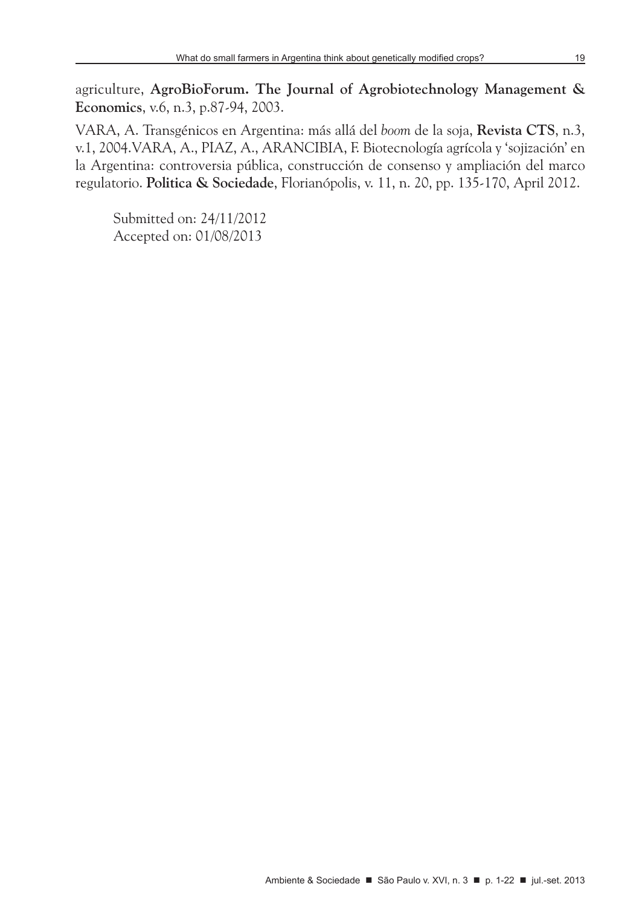agriculture, **AgroBioForum. The Journal of Agrobiotechnology Management & Economics**, v.6, n.3, p.87-94, 2003.

VARA, A. Transgénicos en Argentina: más allá del *boom* de la soja, **Revista CTS**, n.3, v.1, 2004.VARA, A., PIAZ, A., ARANCIBIA, F. Biotecnología agrícola y 'sojización' en la Argentina: controversia pública, construcción de consenso y ampliación del marco regulatorio. **Politica & Sociedade**, Florianópolis, v. 11, n. 20, pp. 135-170, April 2012.

Submitted on: 24/11/2012 Accepted on: 01/08/2013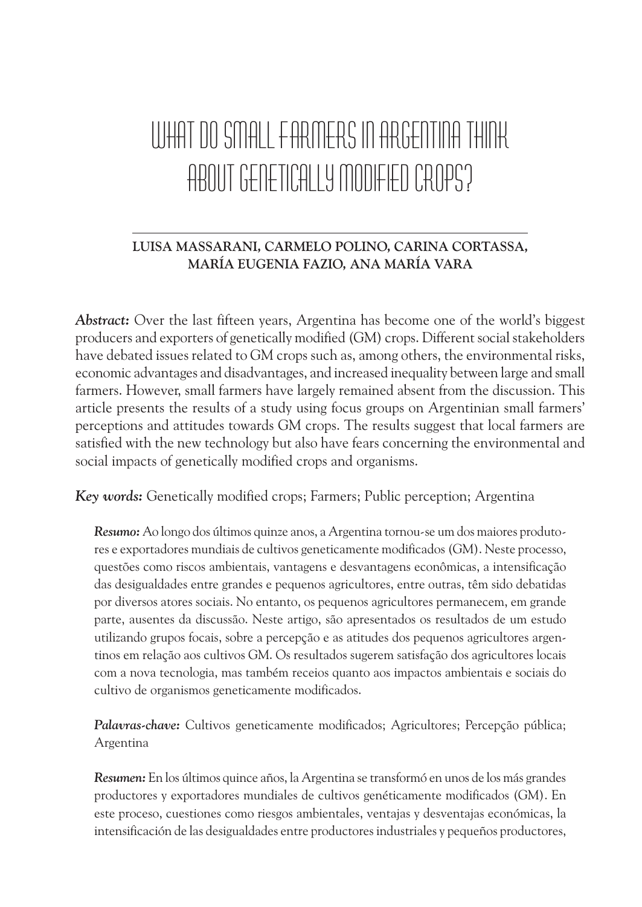# WHAT DO SMALL FARMERS IN ARGENTINA THINK ABOUT GENETICALLY MODIFIED CROPS?

## **LUISA MASSARANI, CARMELO POLINO, CARINA CORTASSA, MARÍA EUGENIA FAZIO, ANA MARÍA VARA**

*Abstract:* Over the last fifteen years, Argentina has become one of the world's biggest producers and exporters of genetically modified (GM) crops. Different social stakeholders have debated issues related to GM crops such as, among others, the environmental risks, economic advantages and disadvantages, and increased inequality between large and small farmers. However, small farmers have largely remained absent from the discussion. This article presents the results of a study using focus groups on Argentinian small farmers' perceptions and attitudes towards GM crops. The results suggest that local farmers are satisfied with the new technology but also have fears concerning the environmental and social impacts of genetically modified crops and organisms.

*Key words:* Genetically modified crops; Farmers; Public perception; Argentina

*Resumo:* Ao longo dos últimos quinze anos, a Argentina tornou-se um dos maiores produtores e exportadores mundiais de cultivos geneticamente modificados (GM). Neste processo, questões como riscos ambientais, vantagens e desvantagens econômicas, a intensificação das desigualdades entre grandes e pequenos agricultores, entre outras, têm sido debatidas por diversos atores sociais. No entanto, os pequenos agricultores permanecem, em grande parte, ausentes da discussão. Neste artigo, são apresentados os resultados de um estudo utilizando grupos focais, sobre a percepção e as atitudes dos pequenos agricultores argentinos em relação aos cultivos GM. Os resultados sugerem satisfação dos agricultores locais com a nova tecnologia, mas também receios quanto aos impactos ambientais e sociais do cultivo de organismos geneticamente modificados.

*Palavras-chave:* Cultivos geneticamente modificados; Agricultores; Percepção pública; Argentina

*Resumen:* En los últimos quince años, la Argentina se transformó en unos de los más grandes productores y exportadores mundiales de cultivos genéticamente modificados (GM). En este proceso, cuestiones como riesgos ambientales, ventajas y desventajas económicas, la intensificación de las desigualdades entre productores industriales y pequeños productores,